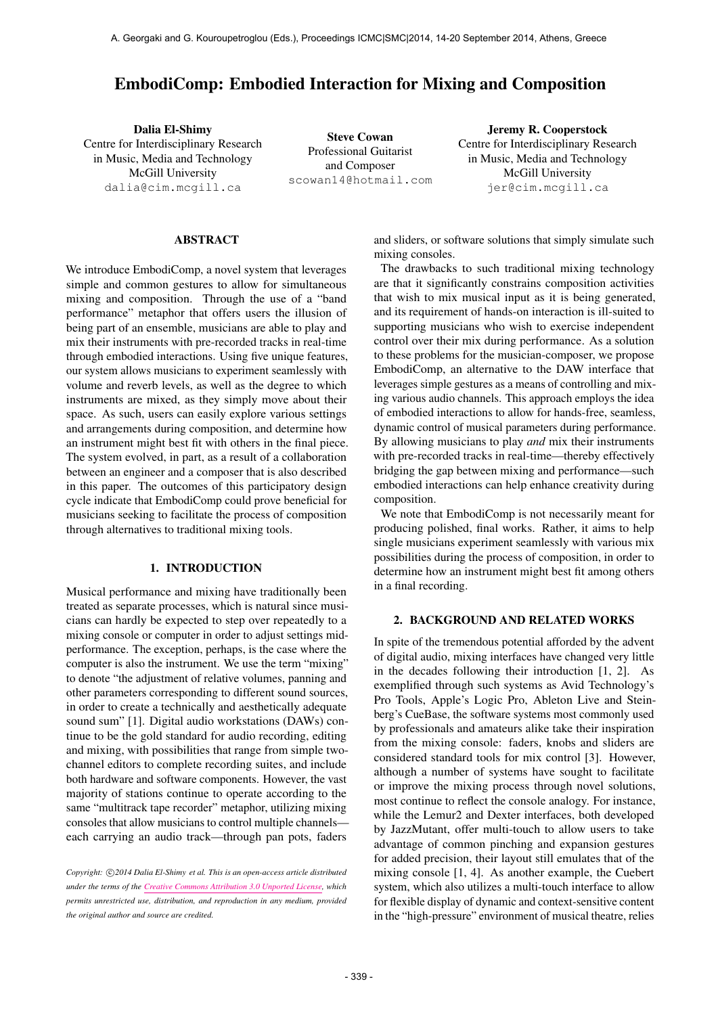# EmbodiComp: Embodied Interaction for Mixing and Composition

Dalia El-Shimy Centre for Interdisciplinary Research in Music, Media and Technology McGill University [dalia@cim.mcgill.ca](mailto:dalia@cim.mcgill.ca)

Steve Cowan Professional Guitarist and Composer [scowan14@hotmail.com](mailto:scowan14@hotmail.com)

Jeremy R. Cooperstock Centre for Interdisciplinary Research in Music, Media and Technology McGill University [jer@cim.mcgill.ca](mailto:jer@cim.mcgill.ca)

#### ABSTRACT

We introduce EmbodiComp, a novel system that leverages simple and common gestures to allow for simultaneous mixing and composition. Through the use of a "band performance" metaphor that offers users the illusion of being part of an ensemble, musicians are able to play and mix their instruments with pre-recorded tracks in real-time through embodied interactions. Using five unique features, our system allows musicians to experiment seamlessly with volume and reverb levels, as well as the degree to which instruments are mixed, as they simply move about their space. As such, users can easily explore various settings and arrangements during composition, and determine how an instrument might best fit with others in the final piece. The system evolved, in part, as a result of a collaboration between an engineer and a composer that is also described in this paper. The outcomes of this participatory design cycle indicate that EmbodiComp could prove beneficial for musicians seeking to facilitate the process of composition through alternatives to traditional mixing tools.

#### 1. INTRODUCTION

Musical performance and mixing have traditionally been treated as separate processes, which is natural since musicians can hardly be expected to step over repeatedly to a mixing console or computer in order to adjust settings midperformance. The exception, perhaps, is the case where the computer is also the instrument. We use the term "mixing" to denote "the adjustment of relative volumes, panning and other parameters corresponding to different sound sources, in order to create a technically and aesthetically adequate sound sum" [1]. Digital audio workstations (DAWs) continue to be the gold standard for audio recording, editing and mixing, with possibilities that range from simple twochannel editors to complete recording suites, and include both hardware and software components. However, the vast majority of stations continue to operate according to the same "multitrack tape recorder" metaphor, utilizing mixing consoles that allow musicians to control multiple channels each carrying an audio track—through pan pots, faders

Copyright:  $\bigcirc$ 2014 Dalia El-Shimy et al. This is an open-access article distributed *under the terms of the [Creative Commons Attribution 3.0 Unported License,](http://creativecommons.org/licenses/by/3.0/) which permits unrestricted use, distribution, and reproduction in any medium, provided the original author and source are credited.*

and sliders, or software solutions that simply simulate such mixing consoles.

The drawbacks to such traditional mixing technology are that it significantly constrains composition activities that wish to mix musical input as it is being generated, and its requirement of hands-on interaction is ill-suited to supporting musicians who wish to exercise independent control over their mix during performance. As a solution to these problems for the musician-composer, we propose EmbodiComp, an alternative to the DAW interface that leverages simple gestures as a means of controlling and mixing various audio channels. This approach employs the idea of embodied interactions to allow for hands-free, seamless, dynamic control of musical parameters during performance. By allowing musicians to play *and* mix their instruments with pre-recorded tracks in real-time—thereby effectively bridging the gap between mixing and performance—such embodied interactions can help enhance creativity during composition.

We note that EmbodiComp is not necessarily meant for producing polished, final works. Rather, it aims to help single musicians experiment seamlessly with various mix possibilities during the process of composition, in order to determine how an instrument might best fit among others in a final recording.

## 2. BACKGROUND AND RELATED WORKS

In spite of the tremendous potential afforded by the advent of digital audio, mixing interfaces have changed very little in the decades following their introduction [1, 2]. As exemplified through such systems as Avid Technology's Pro Tools, Apple's Logic Pro, Ableton Live and Steinberg's CueBase, the software systems most commonly used by professionals and amateurs alike take their inspiration from the mixing console: faders, knobs and sliders are considered standard tools for mix control [3]. However, although a number of systems have sought to facilitate or improve the mixing process through novel solutions, most continue to reflect the console analogy. For instance, while the Lemur2 and Dexter interfaces, both developed by JazzMutant, offer multi-touch to allow users to take advantage of common pinching and expansion gestures for added precision, their layout still emulates that of the mixing console [1, 4]. As another example, the Cuebert system, which also utilizes a multi-touch interface to allow for flexible display of dynamic and context-sensitive content in the "high-pressure" environment of musical theatre, relies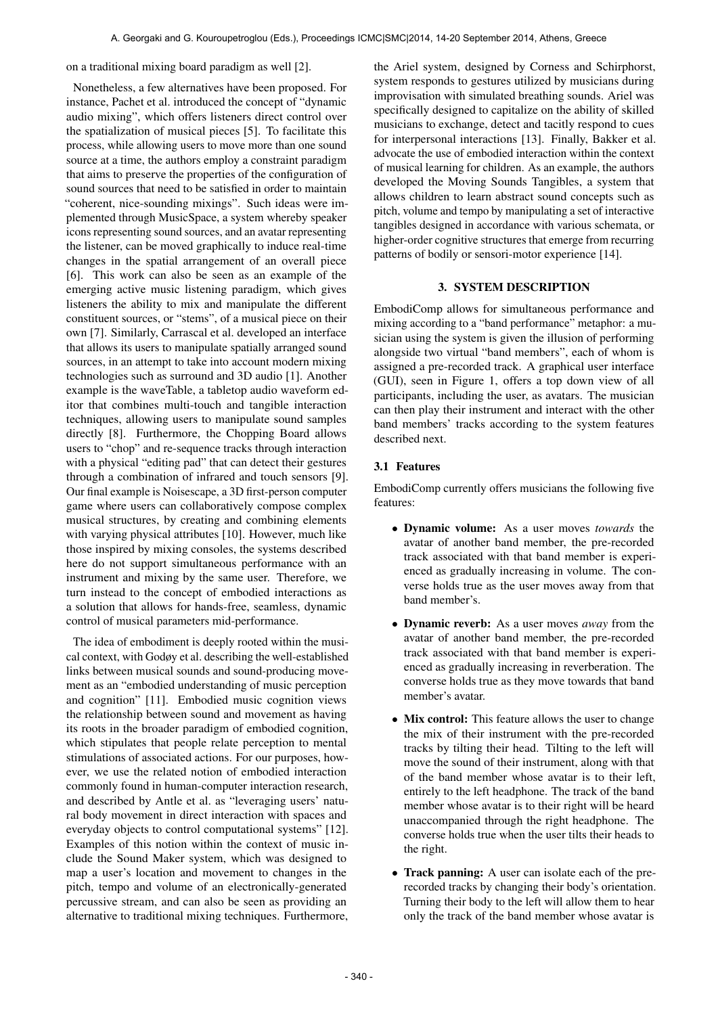on a traditional mixing board paradigm as well [2].

Nonetheless, a few alternatives have been proposed. For instance, Pachet et al. introduced the concept of "dynamic audio mixing", which offers listeners direct control over the spatialization of musical pieces [5]. To facilitate this process, while allowing users to move more than one sound source at a time, the authors employ a constraint paradigm that aims to preserve the properties of the configuration of sound sources that need to be satisfied in order to maintain "coherent, nice-sounding mixings". Such ideas were implemented through MusicSpace, a system whereby speaker icons representing sound sources, and an avatar representing the listener, can be moved graphically to induce real-time changes in the spatial arrangement of an overall piece [6]. This work can also be seen as an example of the emerging active music listening paradigm, which gives listeners the ability to mix and manipulate the different constituent sources, or "stems", of a musical piece on their own [7]. Similarly, Carrascal et al. developed an interface that allows its users to manipulate spatially arranged sound sources, in an attempt to take into account modern mixing technologies such as surround and 3D audio [1]. Another example is the waveTable, a tabletop audio waveform editor that combines multi-touch and tangible interaction techniques, allowing users to manipulate sound samples directly [8]. Furthermore, the Chopping Board allows users to "chop" and re-sequence tracks through interaction with a physical "editing pad" that can detect their gestures through a combination of infrared and touch sensors [9]. Our final example is Noisescape, a 3D first-person computer game where users can collaboratively compose complex musical structures, by creating and combining elements with varying physical attributes [10]. However, much like those inspired by mixing consoles, the systems described here do not support simultaneous performance with an instrument and mixing by the same user. Therefore, we turn instead to the concept of embodied interactions as a solution that allows for hands-free, seamless, dynamic control of musical parameters mid-performance.

The idea of embodiment is deeply rooted within the musical context, with Godøy et al. describing the well-established links between musical sounds and sound-producing movement as an "embodied understanding of music perception and cognition" [11]. Embodied music cognition views the relationship between sound and movement as having its roots in the broader paradigm of embodied cognition, which stipulates that people relate perception to mental stimulations of associated actions. For our purposes, however, we use the related notion of embodied interaction commonly found in human-computer interaction research, and described by Antle et al. as "leveraging users' natural body movement in direct interaction with spaces and everyday objects to control computational systems" [12]. Examples of this notion within the context of music include the Sound Maker system, which was designed to map a user's location and movement to changes in the pitch, tempo and volume of an electronically-generated percussive stream, and can also be seen as providing an alternative to traditional mixing techniques. Furthermore, the Ariel system, designed by Corness and Schirphorst, system responds to gestures utilized by musicians during improvisation with simulated breathing sounds. Ariel was specifically designed to capitalize on the ability of skilled musicians to exchange, detect and tacitly respond to cues for interpersonal interactions [13]. Finally, Bakker et al. advocate the use of embodied interaction within the context of musical learning for children. As an example, the authors developed the Moving Sounds Tangibles, a system that allows children to learn abstract sound concepts such as pitch, volume and tempo by manipulating a set of interactive tangibles designed in accordance with various schemata, or higher-order cognitive structures that emerge from recurring patterns of bodily or sensori-motor experience [14].

#### 3. SYSTEM DESCRIPTION

EmbodiComp allows for simultaneous performance and mixing according to a "band performance" metaphor: a musician using the system is given the illusion of performing alongside two virtual "band members", each of whom is assigned a pre-recorded track. A graphical user interface (GUI), seen in Figure 1, offers a top down view of all participants, including the user, as avatars. The musician can then play their instrument and interact with the other band members' tracks according to the system features described next.

# 3.1 Features

EmbodiComp currently offers musicians the following five features:

- Dynamic volume: As a user moves *towards* the avatar of another band member, the pre-recorded track associated with that band member is experienced as gradually increasing in volume. The converse holds true as the user moves away from that band member's.
- Dynamic reverb: As a user moves *away* from the avatar of another band member, the pre-recorded track associated with that band member is experienced as gradually increasing in reverberation. The converse holds true as they move towards that band member's avatar.
- Mix control: This feature allows the user to change the mix of their instrument with the pre-recorded tracks by tilting their head. Tilting to the left will move the sound of their instrument, along with that of the band member whose avatar is to their left, entirely to the left headphone. The track of the band member whose avatar is to their right will be heard unaccompanied through the right headphone. The converse holds true when the user tilts their heads to the right.
- Track panning: A user can isolate each of the prerecorded tracks by changing their body's orientation. Turning their body to the left will allow them to hear only the track of the band member whose avatar is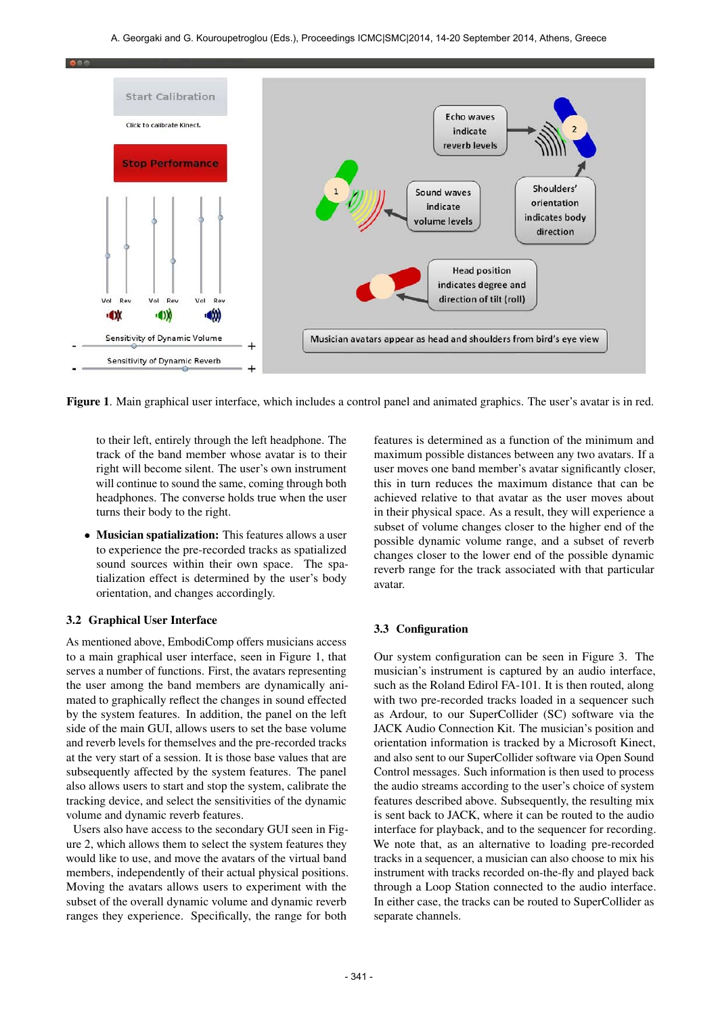

Figure 1. Main graphical user interface, which includes a control panel and animated graphics. The user's avatar is in red.

to their left, entirely through the left headphone. The track of the band member whose avatar is to their right will become silent. The user's own instrument will continue to sound the same, coming through both headphones. The converse holds true when the user turns their body to the right.

• Musician spatialization: This features allows a user to experience the pre-recorded tracks as spatialized sound sources within their own space. The spatialization effect is determined by the user's body orientation, and changes accordingly.

#### 3.2 Graphical User Interface

As mentioned above, EmbodiComp offers musicians access to a main graphical user interface, seen in Figure 1, that serves a number of functions. First, the avatars representing the user among the band members are dynamically animated to graphically reflect the changes in sound effected by the system features. In addition, the panel on the left side of the main GUI, allows users to set the base volume and reverb levels for themselves and the pre-recorded tracks at the very start of a session. It is those base values that are subsequently affected by the system features. The panel also allows users to start and stop the system, calibrate the tracking device, and select the sensitivities of the dynamic volume and dynamic reverb features.

Users also have access to the secondary GUI seen in Figure 2, which allows them to select the system features they would like to use, and move the avatars of the virtual band members, independently of their actual physical positions. Moving the avatars allows users to experiment with the subset of the overall dynamic volume and dynamic reverb ranges they experience. Specifically, the range for both

features is determined as a function of the minimum and maximum possible distances between any two avatars. If a user moves one band member's avatar significantly closer, this in turn reduces the maximum distance that can be achieved relative to that avatar as the user moves about in their physical space. As a result, they will experience a subset of volume changes closer to the higher end of the possible dynamic volume range, and a subset of reverb changes closer to the lower end of the possible dynamic reverb range for the track associated with that particular avatar.

#### 3.3 Configuration

Our system configuration can be seen in Figure 3. The musician's instrument is captured by an audio interface, such as the Roland Edirol FA-101. It is then routed, along with two pre-recorded tracks loaded in a sequencer such as Ardour, to our SuperCollider (SC) software via the JACK Audio Connection Kit. The musician's position and orientation information is tracked by a Microsoft Kinect, and also sent to our SuperCollider software via Open Sound Control messages. Such information is then used to process the audio streams according to the user's choice of system features described above. Subsequently, the resulting mix is sent back to JACK, where it can be routed to the audio interface for playback, and to the sequencer for recording. We note that, as an alternative to loading pre-recorded tracks in a sequencer, a musician can also choose to mix his instrument with tracks recorded on-the-fly and played back through a Loop Station connected to the audio interface. In either case, the tracks can be routed to SuperCollider as separate channels.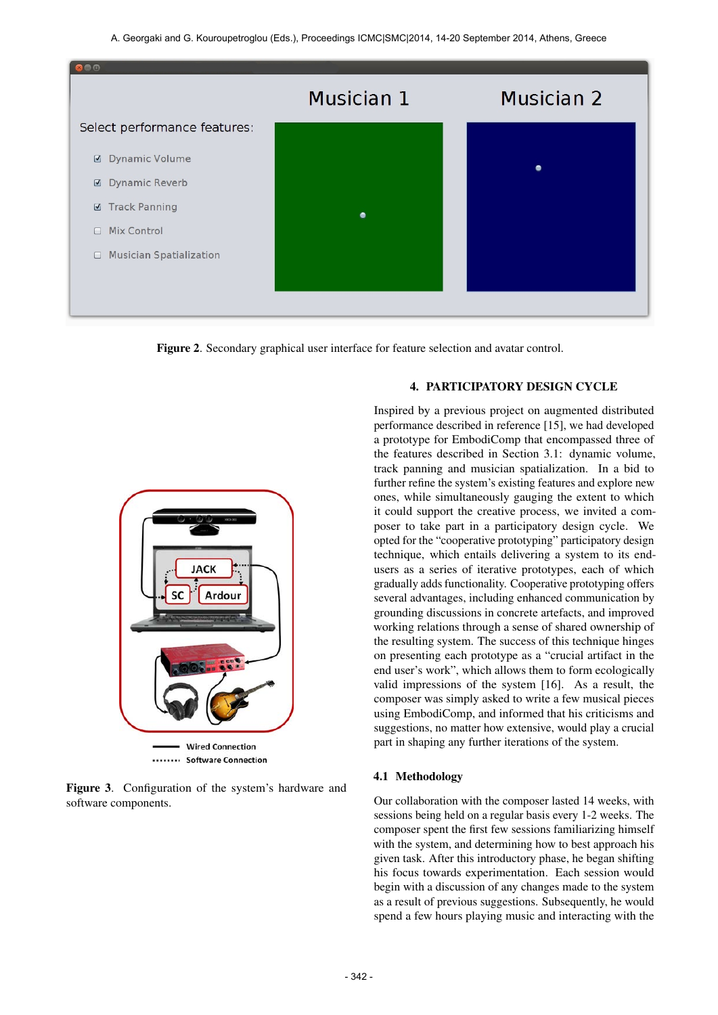A. Georgaki and G. Kouroupetroglou (Eds.), Proceedings ICMC|SMC|2014, 14-20 September 2014, Athens, Greece



Figure 2. Secondary graphical user interface for feature selection and avatar control.



....... Software Connection

Figure 3. Configuration of the system's hardware and software components.

## 4. PARTICIPATORY DESIGN CYCLE

Inspired by a previous project on augmented distributed performance described in reference [15], we had developed a prototype for EmbodiComp that encompassed three of the features described in Section 3.1: dynamic volume, track panning and musician spatialization. In a bid to further refine the system's existing features and explore new ones, while simultaneously gauging the extent to which it could support the creative process, we invited a composer to take part in a participatory design cycle. We opted for the "cooperative prototyping" participatory design technique, which entails delivering a system to its endusers as a series of iterative prototypes, each of which gradually adds functionality. Cooperative prototyping offers several advantages, including enhanced communication by grounding discussions in concrete artefacts, and improved working relations through a sense of shared ownership of the resulting system. The success of this technique hinges on presenting each prototype as a "crucial artifact in the end user's work", which allows them to form ecologically valid impressions of the system [16]. As a result, the composer was simply asked to write a few musical pieces using EmbodiComp, and informed that his criticisms and suggestions, no matter how extensive, would play a crucial part in shaping any further iterations of the system.

### 4.1 Methodology

Our collaboration with the composer lasted 14 weeks, with sessions being held on a regular basis every 1-2 weeks. The composer spent the first few sessions familiarizing himself with the system, and determining how to best approach his given task. After this introductory phase, he began shifting his focus towards experimentation. Each session would begin with a discussion of any changes made to the system as a result of previous suggestions. Subsequently, he would spend a few hours playing music and interacting with the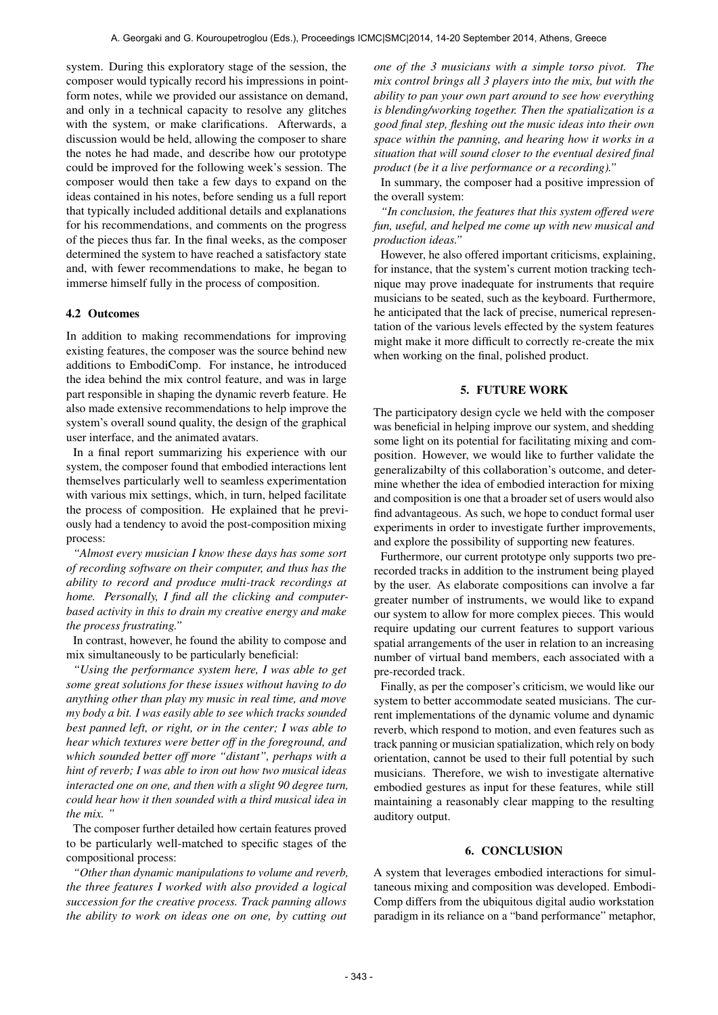system. During this exploratory stage of the session, the composer would typically record his impressions in pointform notes, while we provided our assistance on demand, and only in a technical capacity to resolve any glitches with the system, or make clarifications. Afterwards, a discussion would be held, allowing the composer to share the notes he had made, and describe how our prototype could be improved for the following week's session. The composer would then take a few days to expand on the ideas contained in his notes, before sending us a full report that typically included additional details and explanations for his recommendations, and comments on the progress of the pieces thus far. In the final weeks, as the composer determined the system to have reached a satisfactory state and, with fewer recommendations to make, he began to immerse himself fully in the process of composition.

#### 4.2 Outcomes

In addition to making recommendations for improving existing features, the composer was the source behind new additions to EmbodiComp. For instance, he introduced the idea behind the mix control feature, and was in large part responsible in shaping the dynamic reverb feature. He also made extensive recommendations to help improve the system's overall sound quality, the design of the graphical user interface, and the animated avatars.

In a final report summarizing his experience with our system, the composer found that embodied interactions lent themselves particularly well to seamless experimentation with various mix settings, which, in turn, helped facilitate the process of composition. He explained that he previously had a tendency to avoid the post-composition mixing process:

*"Almost every musician I know these days has some sort of recording software on their computer, and thus has the ability to record and produce multi-track recordings at home. Personally, I find all the clicking and computerbased activity in this to drain my creative energy and make the process frustrating."*

In contrast, however, he found the ability to compose and mix simultaneously to be particularly beneficial:

*"Using the performance system here, I was able to get some great solutions for these issues without having to do anything other than play my music in real time, and move my body a bit. I was easily able to see which tracks sounded best panned left, or right, or in the center; I was able to hear which textures were better off in the foreground, and which sounded better off more "distant", perhaps with a hint of reverb; I was able to iron out how two musical ideas interacted one on one, and then with a slight 90 degree turn, could hear how it then sounded with a third musical idea in the mix. "*

The composer further detailed how certain features proved to be particularly well-matched to specific stages of the compositional process:

*"Other than dynamic manipulations to volume and reverb, the three features I worked with also provided a logical succession for the creative process. Track panning allows the ability to work on ideas one on one, by cutting out*

*one of the 3 musicians with a simple torso pivot. The mix control brings all 3 players into the mix, but with the ability to pan your own part around to see how everything is blending/working together. Then the spatialization is a good final step, fleshing out the music ideas into their own space within the panning, and hearing how it works in a situation that will sound closer to the eventual desired final product (be it a live performance or a recording)."*

In summary, the composer had a positive impression of the overall system:

*"In conclusion, the features that this system offered were fun, useful, and helped me come up with new musical and production ideas."*

However, he also offered important criticisms, explaining, for instance, that the system's current motion tracking technique may prove inadequate for instruments that require musicians to be seated, such as the keyboard. Furthermore, he anticipated that the lack of precise, numerical representation of the various levels effected by the system features might make it more difficult to correctly re-create the mix when working on the final, polished product.

## 5. FUTURE WORK

The participatory design cycle we held with the composer was beneficial in helping improve our system, and shedding some light on its potential for facilitating mixing and composition. However, we would like to further validate the generalizabilty of this collaboration's outcome, and determine whether the idea of embodied interaction for mixing and composition is one that a broader set of users would also find advantageous. As such, we hope to conduct formal user experiments in order to investigate further improvements, and explore the possibility of supporting new features.

Furthermore, our current prototype only supports two prerecorded tracks in addition to the instrument being played by the user. As elaborate compositions can involve a far greater number of instruments, we would like to expand our system to allow for more complex pieces. This would require updating our current features to support various spatial arrangements of the user in relation to an increasing number of virtual band members, each associated with a pre-recorded track.

Finally, as per the composer's criticism, we would like our system to better accommodate seated musicians. The current implementations of the dynamic volume and dynamic reverb, which respond to motion, and even features such as track panning or musician spatialization, which rely on body orientation, cannot be used to their full potential by such musicians. Therefore, we wish to investigate alternative embodied gestures as input for these features, while still maintaining a reasonably clear mapping to the resulting auditory output.

## 6. CONCLUSION

A system that leverages embodied interactions for simultaneous mixing and composition was developed. Embodi-Comp differs from the ubiquitous digital audio workstation paradigm in its reliance on a "band performance" metaphor,